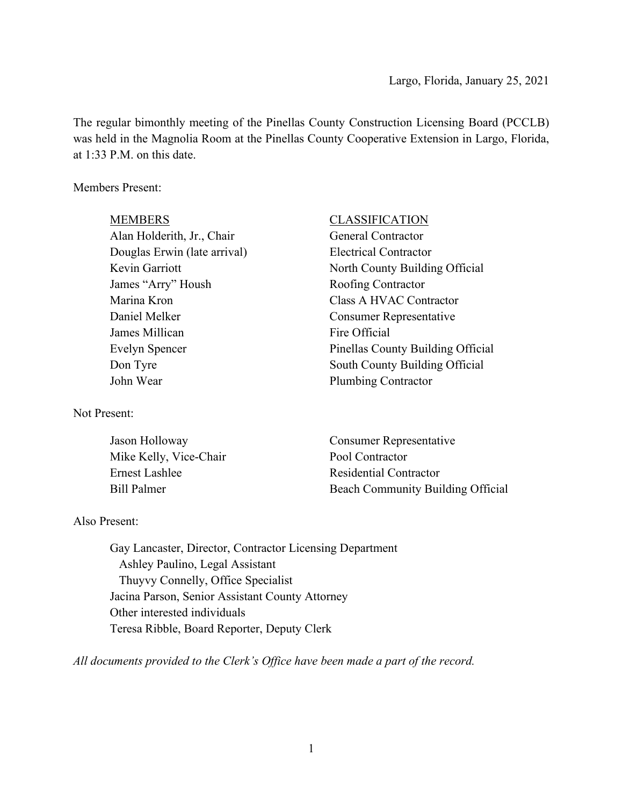The regular bimonthly meeting of the Pinellas County Construction Licensing Board (PCCLB) was held in the Magnolia Room at the Pinellas County Cooperative Extension in Largo, Florida, at 1:33 P.M. on this date.

## Members Present:

| <b>MEMBERS</b>               | <b>CLASSIFICATION</b>             |
|------------------------------|-----------------------------------|
| Alan Holderith, Jr., Chair   | <b>General Contractor</b>         |
| Douglas Erwin (late arrival) | <b>Electrical Contractor</b>      |
| Kevin Garriott               | North County Building Official    |
| James "Arry" Housh           | <b>Roofing Contractor</b>         |
| Marina Kron                  | Class A HVAC Contractor           |
| Daniel Melker                | <b>Consumer Representative</b>    |
| James Millican               | Fire Official                     |
| Evelyn Spencer               | Pinellas County Building Official |
| Don Tyre                     | South County Building Official    |
| John Wear                    | <b>Plumbing Contractor</b>        |
|                              |                                   |

#### Not Present:

| Jason Holloway         | Consumer Representative           |
|------------------------|-----------------------------------|
| Mike Kelly, Vice-Chair | Pool Contractor                   |
| Ernest Lashlee         | Residential Contractor            |
| Bill Palmer            | Beach Community Building Official |

## Also Present:

Gay Lancaster, Director, Contractor Licensing Department Ashley Paulino, Legal Assistant Thuyvy Connelly, Office Specialist Jacina Parson, Senior Assistant County Attorney Other interested individuals Teresa Ribble, Board Reporter, Deputy Clerk

*All documents provided to the Clerk's Office have been made a part of the record.*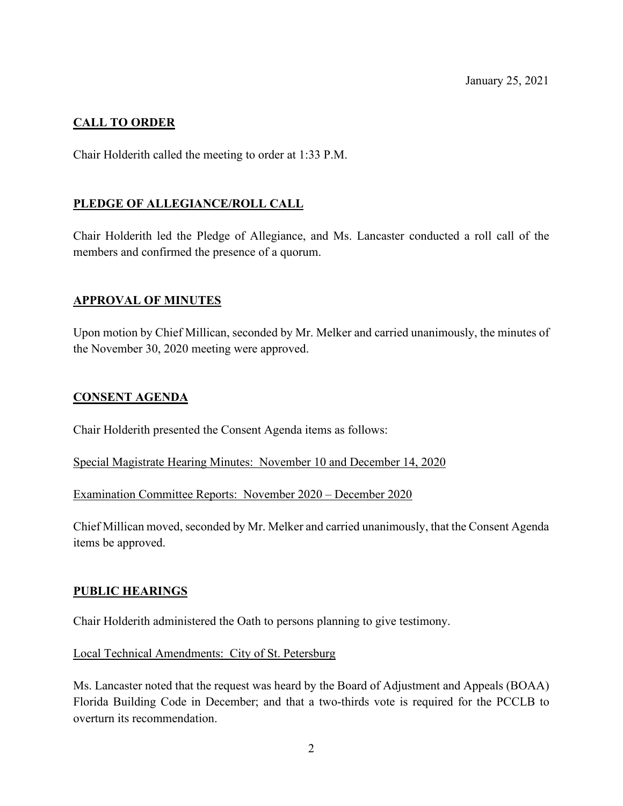January 25, 2021

# **CALL TO ORDER**

Chair Holderith called the meeting to order at 1:33 P.M.

## **PLEDGE OF ALLEGIANCE/ROLL CALL**

Chair Holderith led the Pledge of Allegiance, and Ms. Lancaster conducted a roll call of the members and confirmed the presence of a quorum.

## **APPROVAL OF MINUTES**

Upon motion by Chief Millican, seconded by Mr. Melker and carried unanimously, the minutes of the November 30, 2020 meeting were approved.

### **CONSENT AGENDA**

Chair Holderith presented the Consent Agenda items as follows:

Special Magistrate Hearing Minutes: November 10 and December 14, 2020

Examination Committee Reports: November 2020 – December 2020

Chief Millican moved, seconded by Mr. Melker and carried unanimously, that the Consent Agenda items be approved.

#### **PUBLIC HEARINGS**

Chair Holderith administered the Oath to persons planning to give testimony.

Local Technical Amendments: City of St. Petersburg

Ms. Lancaster noted that the request was heard by the Board of Adjustment and Appeals (BOAA) Florida Building Code in December; and that a two-thirds vote is required for the PCCLB to overturn its recommendation.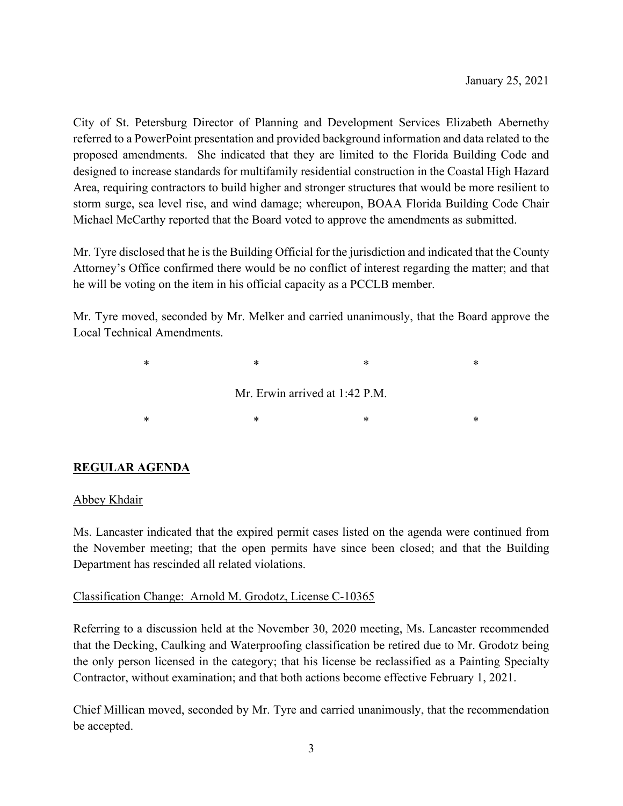City of St. Petersburg Director of Planning and Development Services Elizabeth Abernethy referred to a PowerPoint presentation and provided background information and data related to the proposed amendments. She indicated that they are limited to the Florida Building Code and designed to increase standards for multifamily residential construction in the Coastal High Hazard Area, requiring contractors to build higher and stronger structures that would be more resilient to storm surge, sea level rise, and wind damage; whereupon, BOAA Florida Building Code Chair Michael McCarthy reported that the Board voted to approve the amendments as submitted.

Mr. Tyre disclosed that he is the Building Official for the jurisdiction and indicated that the County Attorney's Office confirmed there would be no conflict of interest regarding the matter; and that he will be voting on the item in his official capacity as a PCCLB member.

Mr. Tyre moved, seconded by Mr. Melker and carried unanimously, that the Board approve the Local Technical Amendments.

> $\begin{matrix} * & * \end{matrix}$  \*  $\begin{matrix} * & * \end{matrix}$  \*  $\begin{matrix} * & * \end{matrix}$ Mr. Erwin arrived at 1:42 P.M.  $\begin{matrix} * & * \end{matrix}$  \*  $\begin{matrix} * & * \end{matrix}$  \*  $\begin{matrix} * & * \end{matrix}$

## **REGULAR AGENDA**

#### Abbey Khdair

Ms. Lancaster indicated that the expired permit cases listed on the agenda were continued from the November meeting; that the open permits have since been closed; and that the Building Department has rescinded all related violations.

#### Classification Change: Arnold M. Grodotz, License C-10365

Referring to a discussion held at the November 30, 2020 meeting, Ms. Lancaster recommended that the Decking, Caulking and Waterproofing classification be retired due to Mr. Grodotz being the only person licensed in the category; that his license be reclassified as a Painting Specialty Contractor, without examination; and that both actions become effective February 1, 2021.

Chief Millican moved, seconded by Mr. Tyre and carried unanimously, that the recommendation be accepted.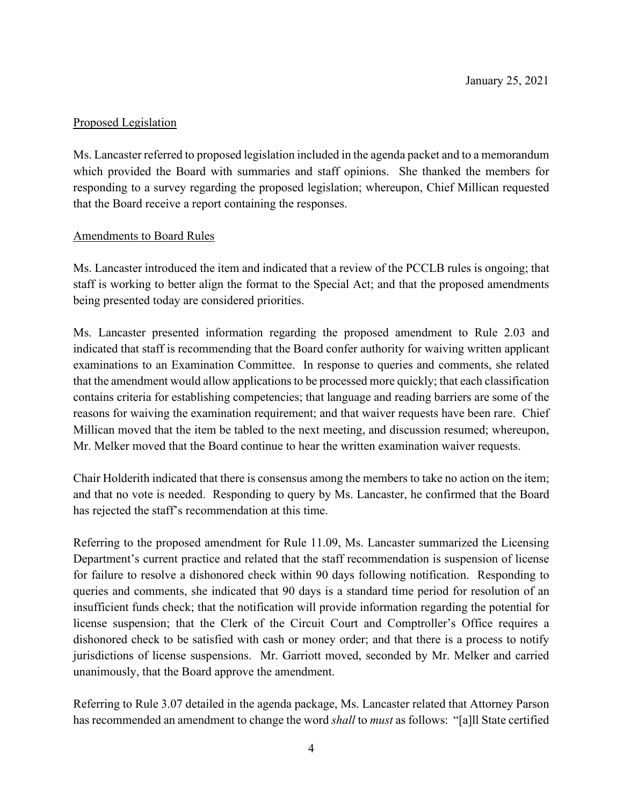# Proposed Legislation

Ms. Lancaster referred to proposed legislation included in the agenda packet and to a memorandum which provided the Board with summaries and staff opinions. She thanked the members for responding to a survey regarding the proposed legislation; whereupon, Chief Millican requested that the Board receive a report containing the responses.

## Amendments to Board Rules

Ms. Lancaster introduced the item and indicated that a review of the PCCLB rules is ongoing; that staff is working to better align the format to the Special Act; and that the proposed amendments being presented today are considered priorities.

Ms. Lancaster presented information regarding the proposed amendment to Rule 2.03 and indicated that staff is recommending that the Board confer authority for waiving written applicant examinations to an Examination Committee. In response to queries and comments, she related that the amendment would allow applications to be processed more quickly; that each classification contains criteria for establishing competencies; that language and reading barriers are some of the reasons for waiving the examination requirement; and that waiver requests have been rare. Chief Millican moved that the item be tabled to the next meeting, and discussion resumed; whereupon, Mr. Melker moved that the Board continue to hear the written examination waiver requests.

Chair Holderith indicated that there is consensus among the members to take no action on the item; and that no vote is needed. Responding to query by Ms. Lancaster, he confirmed that the Board has rejected the staff's recommendation at this time.

Referring to the proposed amendment for Rule 11.09, Ms. Lancaster summarized the Licensing Department's current practice and related that the staff recommendation is suspension of license for failure to resolve a dishonored check within 90 days following notification. Responding to queries and comments, she indicated that 90 days is a standard time period for resolution of an insufficient funds check; that the notification will provide information regarding the potential for license suspension; that the Clerk of the Circuit Court and Comptroller's Office requires a dishonored check to be satisfied with cash or money order; and that there is a process to notify jurisdictions of license suspensions. Mr. Garriott moved, seconded by Mr. Melker and carried unanimously, that the Board approve the amendment.

Referring to Rule 3.07 detailed in the agenda package, Ms. Lancaster related that Attorney Parson has recommended an amendment to change the word *shall* to *must* as follows: "[a]ll State certified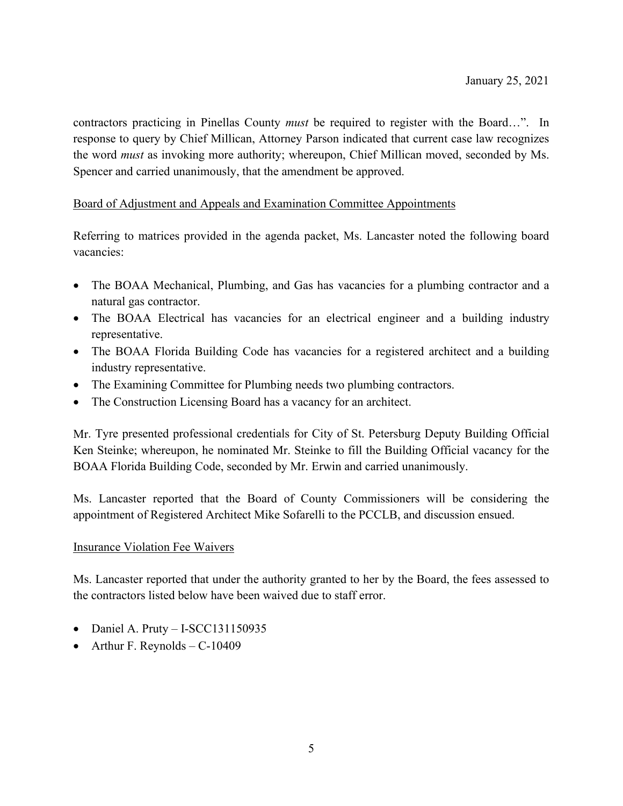contractors practicing in Pinellas County *must* be required to register with the Board…". In response to query by Chief Millican, Attorney Parson indicated that current case law recognizes the word *must* as invoking more authority; whereupon, Chief Millican moved, seconded by Ms. Spencer and carried unanimously, that the amendment be approved.

## Board of Adjustment and Appeals and Examination Committee Appointments

Referring to matrices provided in the agenda packet, Ms. Lancaster noted the following board vacancies:

- The BOAA Mechanical, Plumbing, and Gas has vacancies for a plumbing contractor and a natural gas contractor.
- The BOAA Electrical has vacancies for an electrical engineer and a building industry representative.
- The BOAA Florida Building Code has vacancies for a registered architect and a building industry representative.
- The Examining Committee for Plumbing needs two plumbing contractors.
- The Construction Licensing Board has a vacancy for an architect.

Mr. Tyre presented professional credentials for City of St. Petersburg Deputy Building Official Ken Steinke; whereupon, he nominated Mr. Steinke to fill the Building Official vacancy for the BOAA Florida Building Code, seconded by Mr. Erwin and carried unanimously.

Ms. Lancaster reported that the Board of County Commissioners will be considering the appointment of Registered Architect Mike Sofarelli to the PCCLB, and discussion ensued.

## Insurance Violation Fee Waivers

Ms. Lancaster reported that under the authority granted to her by the Board, the fees assessed to the contractors listed below have been waived due to staff error.

- Daniel A. Pruty I-SCC131150935
- Arthur F. Reynolds  $-C-10409$